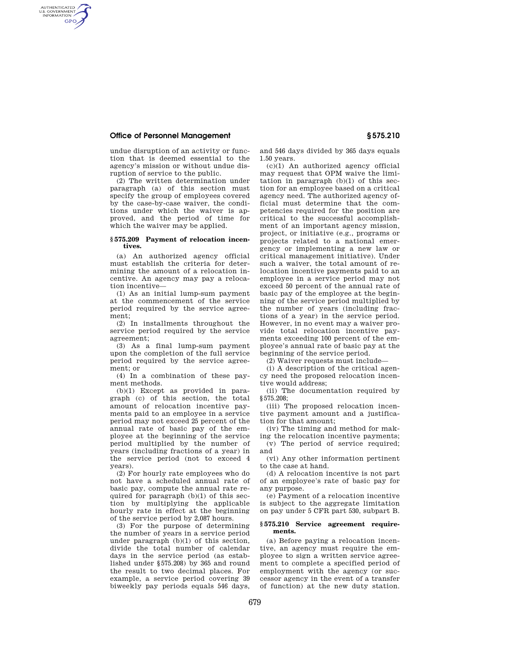## **Office of Personnel Management § 575.210**

AUTHENTICATED<br>U.S. GOVERNMENT<br>INFORMATION **GPO** 

> undue disruption of an activity or function that is deemed essential to the agency's mission or without undue disruption of service to the public.

> (2) The written determination under paragraph (a) of this section must specify the group of employees covered by the case-by-case waiver, the conditions under which the waiver is approved, and the period of time for which the waiver may be applied.

## **§ 575.209 Payment of relocation incentives.**

(a) An authorized agency official must establish the criteria for determining the amount of a relocation incentive. An agency may pay a relocation incentive—

(1) As an initial lump-sum payment at the commencement of the service period required by the service agreement;

(2) In installments throughout the service period required by the service agreement;

(3) As a final lump-sum payment upon the completion of the full service period required by the service agreement; or

(4) In a combination of these payment methods.

(b)(1) Except as provided in paragraph (c) of this section, the total amount of relocation incentive payments paid to an employee in a service period may not exceed 25 percent of the annual rate of basic pay of the employee at the beginning of the service period multiplied by the number of years (including fractions of a year) in the service period (not to exceed 4 years).

(2) For hourly rate employees who do not have a scheduled annual rate of basic pay, compute the annual rate required for paragraph (b)(1) of this section by multiplying the applicable hourly rate in effect at the beginning of the service period by 2,087 hours.

(3) For the purpose of determining the number of years in a service period under paragraph (b)(1) of this section, divide the total number of calendar days in the service period (as established under §575.208) by 365 and round the result to two decimal places. For example, a service period covering 39 biweekly pay periods equals 546 days,

and 546 days divided by 365 days equals 1.50 years.

 $(c)(1)$  An authorized agency official may request that OPM waive the limitation in paragraph (b)(1) of this section for an employee based on a critical agency need. The authorized agency official must determine that the competencies required for the position are critical to the successful accomplishment of an important agency mission, project, or initiative (e.g., programs or projects related to a national emergency or implementing a new law or critical management initiative). Under such a waiver, the total amount of relocation incentive payments paid to an employee in a service period may not exceed 50 percent of the annual rate of basic pay of the employee at the beginning of the service period multiplied by the number of years (including fractions of a year) in the service period. However, in no event may a waiver provide total relocation incentive payments exceeding 100 percent of the employee's annual rate of basic pay at the beginning of the service period.

(2) Waiver requests must include—

(i) A description of the critical agency need the proposed relocation incentive would address;

(ii) The documentation required by §575.208;

(iii) The proposed relocation incentive payment amount and a justification for that amount;

(iv) The timing and method for making the relocation incentive payments;

(v) The period of service required; and

(vi) Any other information pertinent to the case at hand.

(d) A relocation incentive is not part of an employee's rate of basic pay for any purpose.

(e) Payment of a relocation incentive is subject to the aggregate limitation on pay under 5 CFR part 530, subpart B.

## **§ 575.210 Service agreement requirements.**

(a) Before paying a relocation incentive, an agency must require the employee to sign a written service agreement to complete a specified period of employment with the agency (or successor agency in the event of a transfer of function) at the new duty station.